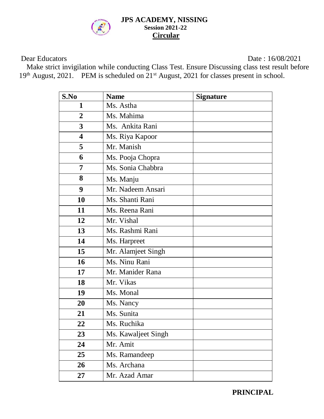

#### **JPS ACADEMY, NISSING Session 2021-22 Circular**

Dear Educators Date : 16/08/2021

 Make strict invigilation while conducting Class Test. Ensure Discussing class test result before 19<sup>th</sup> August, 2021. PEM is scheduled on 21<sup>st</sup> August, 2021 for classes present in school.

| S.No                    | <b>Name</b>         | <b>Signature</b> |
|-------------------------|---------------------|------------------|
| 1                       | Ms. Astha           |                  |
| $\overline{2}$          | Ms. Mahima          |                  |
| 3                       | Ms. Ankita Rani     |                  |
| $\overline{\mathbf{4}}$ | Ms. Riya Kapoor     |                  |
| 5                       | Mr. Manish          |                  |
| 6                       | Ms. Pooja Chopra    |                  |
| 7                       | Ms. Sonia Chabbra   |                  |
| 8                       | Ms. Manju           |                  |
| 9                       | Mr. Nadeem Ansari   |                  |
| 10                      | Ms. Shanti Rani     |                  |
| 11                      | Ms. Reena Rani      |                  |
| 12                      | Mr. Vishal          |                  |
| 13                      | Ms. Rashmi Rani     |                  |
| 14                      | Ms. Harpreet        |                  |
| 15                      | Mr. Alamjeet Singh  |                  |
| 16                      | Ms. Ninu Rani       |                  |
| 17                      | Mr. Manider Rana    |                  |
| 18                      | Mr. Vikas           |                  |
| 19                      | Ms. Monal           |                  |
| 20                      | Ms. Nancy           |                  |
| 21                      | Ms. Sunita          |                  |
| 22                      | Ms. Ruchika         |                  |
| 23                      | Ms. Kawaljeet Singh |                  |
| 24                      | Mr. Amit            |                  |
| 25                      | Ms. Ramandeep       |                  |
| 26                      | Ms. Archana         |                  |
| 27                      | Mr. Azad Amar       |                  |

**PRINCIPAL**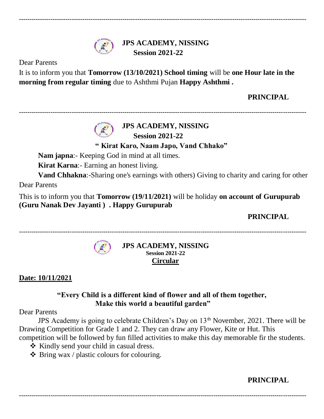

**JPS ACADEMY, NISSING Session 2021-22**

**----------------------------------------------------------------------------------------------------------------------------------------**

Dear Parents

It is to inform you that **Tomorrow (13/10/2021) School timing** will be **one Hour late in the morning from regular timing** due to Ashthmi Pujan **Happy Ashthmi**.

# **PRINCIPAL**

# **JPS ACADEMY, NISSING**

**----------------------------------------------------------------------------------------------------------------------------------------**

 **Session 2021-22**

**" Kirat Karo, Naam Japo, Vand Chhako"**

**Nam japna**:- Keeping God in mind at all times.

**Kirat Karna**:- Earning an honest living.

**Vand Chhakna**:-Sharing one's earnings with others) Giving to charity and caring for other Dear Parents

This is to inform you that **Tomorrow (19/11/2021)** will be holiday **on account of Gurupurab (Guru Nanak Dev Jayanti ) . Happy Gurupurab**

**PRINCIPAL**

**----------------------------------------------------------------------------------------------------------------------------------------**



**JPS ACADEMY, NISSING Session 2021-22 Circular**

**Date: 10/11/2021**

# **"Every Child is a different kind of flower and all of them together, Make this world a beautiful garden"**

# Dear Parents

JPS Academy is going to celebrate Children's Day on  $13<sup>th</sup>$  November, 2021. There will be Drawing Competition for Grade 1 and 2. They can draw any Flower, Kite or Hut. This competition will be followed by fun filled activities to make this day memorable fir the students.

 $\triangleleft$  Kindly send your child in casual dress.

 $\triangle$  Bring wax / plastic colours for colouring.

# **PRINCIPAL**

**----------------------------------------------------------------------------------------------------------------------------------------**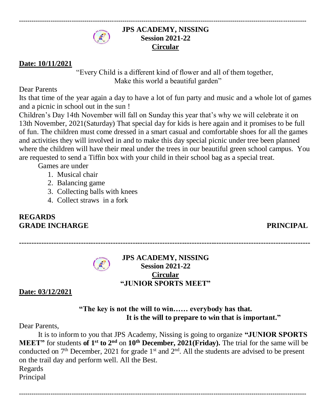#### **JPS ACADEMY, NISSING Session 2021-22 Circular**

**----------------------------------------------------------------------------------------------------------------------------------------**

# **Date: 10/11/2021**

"Every Child is a different kind of flower and all of them together, Make this world a beautiful garden"

Dear Parents

Its that time of the year again a day to have a lot of fun party and music and a whole lot of games and a picnic in school out in the sun !

Children's Day 14th November will fall on Sunday this year that's why we will celebrate it on 13th November, 2021(Saturday) That special day for kids is here again and it promises to be full of fun. The children must come dressed in a smart casual and comfortable shoes for all the games and activities they will involved in and to make this day special picnic under tree been planned where the children will have their meal under the trees in our beautiful green school campus. You are requested to send a Tiffin box with your child in their school bag as a special treat.

Games are under

- 1. Musical chair
- 2. Balancing game
- 3. Collecting balls with knees
- 4. Collect straws in a fork

# **REGARDS GRADE INCHARGE PRINCIPAL**

**----------------------------------------------------------------------------------------------------------------------**

#### **JPS ACADEMY, NISSING Session 2021-22 Circular "JUNIOR SPORTS MEET"**

**Date: 03/12/2021**

# **"The key is not the will to win…… everybody has that. It is the will to prepare to win that is important."**

#### Dear Parents,

It is to inform to you that JPS Academy, Nissing is going to organize **"JUNIOR SPORTS MEET"** for students **of 1 st to 2nd** on **10th December, 2021(Friday).** The trial for the same will be conducted on  $7<sup>th</sup>$  December, 2021 for grade 1<sup>st</sup> and  $2<sup>nd</sup>$ . All the students are advised to be present on the trail day and perform well. All the Best.

**----------------------------------------------------------------------------------------------------------------------------------------**

Regards

Principal